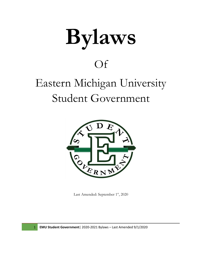# **Bylaws**

### Of

## Eastern Michigan University Student Government



Last Amended: September 1<sup>st</sup>, 2020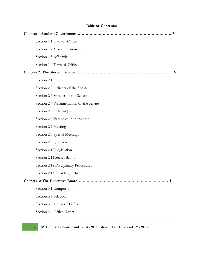| <b>Table of Contents:</b> |                                           |  |
|---------------------------|-------------------------------------------|--|
|                           | . 6                                       |  |
|                           | Section 1.1 Oath of Office                |  |
|                           | Section 1.2 Mission Statement             |  |
|                           | Section 1.3 Affidavit                     |  |
|                           | Section 1.4 Term of Office                |  |
|                           |                                           |  |
|                           | Section 2.1 Duties                        |  |
|                           | Section 2.2 Officers of the Senate        |  |
|                           | Section 2.3 Speaker of the Senate         |  |
|                           | Section 2.4 Parliamentarian of the Senate |  |
|                           | Section 2.5 Delegate(s)                   |  |
|                           | Section 2.6 Vacancies in the Senate       |  |
|                           | Section 2.7 Meetings                      |  |
|                           | Section 2.8 Special Meetings              |  |
|                           | Section 2.9 Quorum                        |  |
|                           | Section 2.10 Legislation                  |  |
|                           | Section 2.11 Secret Ballots               |  |
|                           | Section 2.12 Disciplinary Procedures      |  |
|                           | Section 2.13 Presiding Officer            |  |
|                           |                                           |  |
|                           | Section 3.1 Composition                   |  |
|                           | Section 3.2 Selection                     |  |
|                           | Section 3.3 Terms of Office               |  |
|                           | Section 3.4 Office Hours                  |  |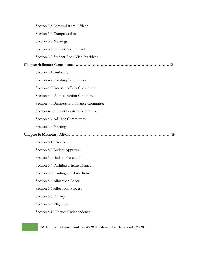|  | Section 3.5 Removal from Officer           |  |
|--|--------------------------------------------|--|
|  | Section 3.6 Compensation                   |  |
|  | Section 3.7 Meetings                       |  |
|  | Section 3.8 Student Body President         |  |
|  | Section 3.9 Student Body Vice-President    |  |
|  |                                            |  |
|  | Section 4.1 Authority                      |  |
|  | Section 4.2 Standing Committees            |  |
|  | Section 4.3 Internal Affairs Committee     |  |
|  | Section 4.4 Political Action Committee     |  |
|  | Section 4.5 Business and Finance Committee |  |
|  | Section 4.6 Student Services Committee     |  |
|  | Section 4.7 Ad-Hoc Committees              |  |
|  | Section 4.8 Meetings                       |  |
|  |                                            |  |
|  | Section 5.1 Fiscal Year                    |  |
|  | Section 5.2 Budget Approval                |  |
|  | Section 5.3 Budget Presentation            |  |
|  | Section 5.4 Prohibited Items Denied        |  |
|  | Section 5.5 Contingency Line Item          |  |
|  | Section 5.6 Allocation Policy              |  |
|  | Section 5.7 Allocation Process             |  |
|  | Section 5.8 Finality                       |  |
|  | Section 5.9 Eligibility                    |  |
|  | Section 5.10 Request Independence          |  |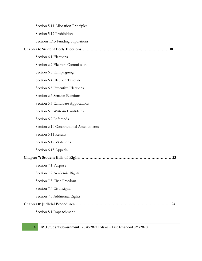Section 5.11 Allocation Principles Section 5.12 Prohibitions Sections 5.13 Funding Stipulations

#### **Chapter 6: Student Body Elections………………………………………………………… 18**

Section 6.1 Elections Section 6.2 Election Commission Section 6.3 Campaigning Section 6.4 Election Timeline Section 6.5 Executive Elections Section 6.6 Senator Elections Section 6.7 Candidate Applications Section 6.8 Write-in Candidates Section 6.9 Referenda Section 6.10 Constitutional Amendments Section 6.11 Results Section 6.12 Violations Section 6.13 Appeals **Chapter 7: Student Bills of Rights…………………………………………………………… 23** Section 7.1 Purpose Section 7.2 Academic Rights Section 7.3 Civic Freedom Section 7.4 Civil Rights Section 7.5 Additional Rights **Chapter 8: Judicial Procedures………………………………………………………………. 24** Section 8.1 Impeachment

4 **EMU Student Government**| 2020-2021 Bylaws – Last Amended 9/1/2020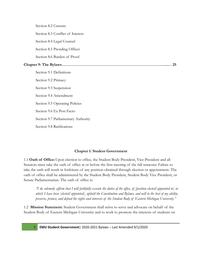|    | Section 8.2 Censure                 |  |
|----|-------------------------------------|--|
|    | Section 8.3 Conflict of Interest    |  |
|    | Section 8.4 Legal Counsel           |  |
|    | Section 8.5 Presiding Officer       |  |
|    | Section 8.6 Burden of Proof         |  |
| 25 |                                     |  |
|    | Section 9.1 Definitions             |  |
|    | Section 9.2 Primacy                 |  |
|    | Section 9.3 Suspension              |  |
|    | Section 9.4 Amendment               |  |
|    | Section 9.5 Operating Policies      |  |
|    | Section 9.6 Ex Post Facto           |  |
|    | Section 9.7 Parliamentary Authority |  |
|    | Section 9.8 Ratifications           |  |

#### **Chapter 1: Student Government**

1.1 **Oath of Office:**Upon election to office, the Student Body President, Vice-President and all Senators must take the oath of office at or before the first meeting of the fall semester. Failure to take the oath will result in forfeiture of any position obtained through election or appointment. The oath of office shall be administered by the Student Body President, Student Body Vice President, or Senate Parliamentarian. The oath of office is:

"I do solemnly affirm that I will faithfully execute the duties of the office, of [position elected] appointed to] in which I have been [elected] appointed], uphold the Constitution and Bylaws, and will to the best of my ability, *preserve, protect, and defend the rights and interests of the Student Body of Eastern Michigan University."*

1.2 **Mission Statement:** Student Government shall strive to serve and advocate on behalf of the Student Body of Eastern Michigan University and to work to promote the interests of students on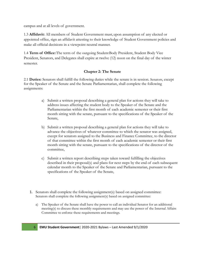campus and at all levels of government.

1.3 **Affidavit:** All members of Student Government must,upon assumption of any elected or appointed office, sign an affidavit attesting to their knowledge of Student Government policies and make all official decisions in a viewpoint neutral manner.

1.4 **Term of Office:**The term of the outgoing StudentBody President, Student Body Vice President, Senators, and Delegates shall expire at twelve (12) noon on the final day of the winter semester.

#### **Chapter 2: The Senate**

2.1 **Duties:** Senators shall fulfill the following duties while the senate is in session. Senators, except for the Speaker of the Senate and the Senate Parliamentarian, shall complete the following assignments:

- a) Submit a written proposal describing a general plan for actions they will take to address issues affecting the student body to the Speaker of the Senate and the Parliamentarian within the first month of each academic semester or their first month sitting with the senate, pursuant to the specifications of the Speaker of the Senate,
- b) Submit a written proposal describing a general plan for actions they will take to advance the objectives of whatever committee to which the senator was assigned, except for senators assigned to the Business and Finance Committee, to the director of that committee within the first month of each academic semester or their first month sitting with the senate, pursuant to the specifications of the director of the committee,
- c) Submit a written report describing steps taken toward fulfilling the objectives described in their proposal(s) and plans for next steps by the end of each subsequent calendar month to the Speaker of the Senate and Parliamentarian, pursuant to the specifications of the Speaker of the Senate,
- 1. Senators shall complete the following assignment(s) based on assigned committee: Senators shall complete the following assignment(s) based on assigned committee:
	- a) The Speaker of the Senate shall have the power to call an individual Senator for an additional meeting(s) to discuss these monthly requirements and may use the power of the Internal Affairs Committee to enforce these requirements and meetings.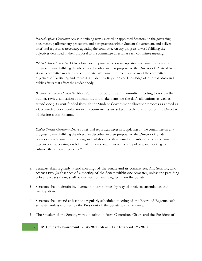*Internal Af airs Committee:* Assist in training newly elected or appointed Senators on the governing documents, parliamentary procedure, and best practices within Student Government, and deliver brief oral reports, as necessary, updating the committee on any progress toward fulfilling the objectives described in their proposal to the committee director at each committee meeting;

*Political Action Committee:* Deliver brief oral reports, as necessary, updating the committee on any progress toward fulfilling the objectives described in their proposal to the Director of Political Action at each committee meeting and collaborate with committee members to meet the committee objectives of facilitating and improving student participation and knowledge of external issues and public affairs that affect the student body;

*Business and Finance Committee:* Meet 25 minutes before each Committee meeting to review the budget, review allocation applications, and make plans for the day's allocations as well as attend one (1) event funded through the Student Government allocation process as agreed as a Committee per calendar month. Requirements are subject to the discretion of the Director of Business and Finance.

*Student Services Committee:* Deliver brief oral reports, as necessary, updating on the committee on any progress toward fulfilling the objectives described in their proposal to the Director of Student Services at each committee meeting and collaborate with committee members to meet the committee objectives of advocating on behalf of students oncampus issues and policies, and working to enhance the student experience,"

- 2. Senators shall regularly attend meetings of the Senate and its committees. Any Senator, who accrues two (2) absences of a meeting of the Senate within one semester, unless the presiding officer excuses them, shall be deemed to have resigned from the Senate.
- 3. Senators shall maintain involvement in committees by way of projects, attendance, and participation.
- 4. Senators shall attend at least one regularly scheduled meeting of the Board of Regents each semester unless excused by the President of the Senate with due cause.
- 5. The Speaker of the Senate, with consultation from Committee Chairs and the President of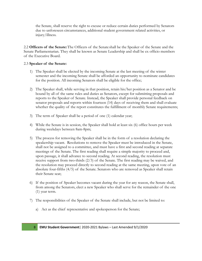the Senate, shall reserve the right to excuse or reduce certain duties performed by Senators due to unforeseen circumstances, additional student government related activities, or injury/illness.

2.2 **Officers of the Senate:**The Officers of the Senate shall be the Speaker of the Senate and the Senate Parliamentarian. They shall be known as Senate Leadership and shall be ex officio members of the Executive Board.

#### 2.3 **Speaker of the Senate:**

- 1) The Speaker shall be elected by the incoming Senate at the last meeting of the winter semester and the incoming Senate shall be afforded an opportunity to nominate candidates for the position. All incoming Senators shall be eligible for the office;
- 2) The Speaker shall, while serving in that position, retain his/her position as a Senator and be bound by all of the same rules and duties as Senators, except for submitting proposals and reports to the Speaker of Senate. Instead, the Speaker shall provide personal feedback on senator proposals and reports within fourteen (14) days of receiving them and shall evaluate whether the quality of the report constitutes the fulfillment of monthly Senate requirements;
- 3) The term of Speaker shall be a period of one (1) calendar year;
- 4) While the Senate is in session, the Speaker shall hold at least six (6) office hours per week during weekdays between 8am-8pm;
- 5) The process for removing the Speaker shall be in the form of a resolution declaring the speakership vacant. Resolutions to remove the Speaker must be introduced in the Senate, shall not be assigned to a committee, and must have a first and second reading at separate meetings of the Senate. The first reading shall require a simple majority to proceed and, upon passage, it shall advance to second reading. At second reading, the resolution must receive support from two-thirds (2/3) of the Senate. The first reading may be waived, and the resolution may proceed directly to second reading at the same meeting, upon vote of an absolute four-fifths (4/5) of the Senate. Senators who are removed as Speaker shall retain their Senate seat;
- 6) If the position of Speaker becomes vacant during the year for any reason, the Senate shall, from among the Senators, elect a new Speaker who shall serve for the remainder of the one (1) year term.
- 7) The responsibilities of the Speaker of the Senate shall include, but not be limited to:
	- a) Act as the chief representative and spokesperson for the Senate;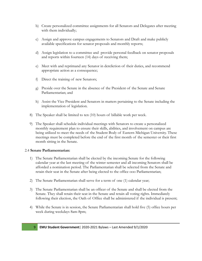- b) Create personalized committee assignments for all Senators and Delegates after meeting with them individually;
- c) Assign and approve campus engagements to Senators and Draft and make publicly available specifications for senator proposals and monthly reports;
- d) Assign legislation to a committee and provide personal feedback on senator proposals and reports within fourteen (14) days of receiving them;
- e) Meet with and reprimand any Senator in dereliction of their duties, and recommend appropriate action as a consequence;
- f) Direct the training of new Senators;
- g) Preside over the Senate in the absence of the President of the Senate and Senate Parliamentarian; and
- h) Assist the Vice President and Senators in matters pertaining to the Senate including the implementation of legislation.
- 8) The Speaker shall be limited to ten (10) hours of billable work per week.
- 9) The Speaker shall schedule individual meetings with Senators to create a personalized monthly requirement plan to ensure their skills, abilities, and involvement on campus are being utilized to meet the needs of the Student Body of Eastern Michigan University. These meetings must be completed before the end of the first month of the semester or their first month sitting in the Senate.

#### 2.4 **Senate Parliamentarian:**

- 1) The Senate Parliamentarian shall be elected by the incoming Senate for the following calendar year at the last meeting of the winter semester and all incoming Senators shall be afforded a nomination period. The Parliamentarian shall be selected from the Senate and retain their seat in the Senate after being elected to the office ooo Parliamentarian;
- 2) The Senate Parliamentarian shall serve for a term of one (1) calendar year;
- 3) The Senate Parliamentarian shall be an officer of the Senate and shall be elected from the Senate. They shall retain their seat in the Senate and retain all voting rights. Immediately following their election, the Oath of Office shall be administered if the individual is present;
- 4) While the Senate is in session, the Senate Parliamentarian shall hold five (5) office hours per week during weekdays 8am-8pm;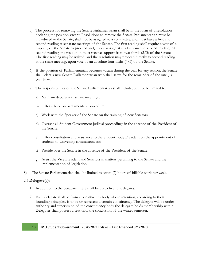- 5) The process for removing the Senate Parliamentarian shall be in the form of a resolution declaring the position vacant. Resolutions to remove the Senate Parliamentarian must be introduced in the Senate, shall not be assigned to a committee, and must have a first and second reading at separate meetings of the Senate. The first reading shall require a vote of a majority of the Senate to proceed and, upon passage; it shall advance to second reading. At second reading, the resolution must receive support from two-thirds (2/3) of the Senate. The first reading may be waived, and the resolution may proceed directly to second reading at the same meeting, upon vote of an absolute four-fifths (4/5) of the Senate.
- 6) If the position of Parliamentarian becomes vacant during the year for any reason, the Senate shall, elect a new Senate Parliamentarian who shall serve for the remainder of the one (1) year term;
- 7) The responsibilities of the Senate Parliamentarian shall include, but not be limited to:
	- a) Maintain decorum at senate meetings;
	- b) Offer advice on parliamentary procedure
	- c) Work with the Speaker of the Senate on the training of new Senators;
	- d) Oversee all Student Government judicial proceedings in the absence of the President of the Senate;
	- e) Offer consultation and assistance to the Student Body President on the appointment of students to University committees; and
	- f) Preside over the Senate in the absence of the President of the Senate.
	- g) Assist the Vice President and Senators in matters pertaining to the Senate and the implementation of legislation.
- 8) The Senate Parliamentarian shall be limited to seven (7) hours of billable work per week.

#### 2.5 **Delegate(s):**

- 1) In addition to the Senators, there shall be up to five (5) delegates.
- 2) Each delegate shall be from a constituency body whose intention, according to their founding principles, is to be or represent a certain constituency. The delegate will be under authority and supervision of the constituency body the delegate holds membership within. Delegates shall possess a seat until the conclusion of the winter semester.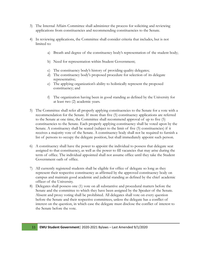- 3) The Internal Affairs Committee shall administer the process for soliciting and reviewing applications from constituencies and recommending constituencies to the Senate.
- 4) In reviewing applications, the Committee shall consider criteria that includes, but is not limited to:
	- a) Breath and degree of the constituency body's representation of the student body;
	- b) Need for representation within Student Government;
	- c) The constituency body's history of providing quality delegates;
	- d) The constituency body's proposed procedure for selection of its delegate representative;
	- e) The applying organization's ability to holistically represent the proposed constituency; and
	- f) The organization having been in good standing as defined by the University for at least two (2) academic years.
- 5) The Committee shall refer all properly applying constituencies to the Senate for a vote with a recommendation for the Senate. If more than five (5) constituency applications are referred to the Senate at one time, the Committee shall recommend approval of up to five (5) constituencies to the Senate. Each properly applying constituency shall be voted upon by the Senate. A constituency shall be seated (subject to the limit of five (5) constituencies) if it receives a majority vote of the Senate. A constituency body shall not be required to furnish a list of persons to occupy the delegate position, but shall immediately appoint such person.
- 6) A constituency shall have the power to appoint the individual to possess that delegate seat assigned to that constituency, as well as the power to fill vacancies that may arise during the term of office. The individual appointed shall not assume office until they take the Student Government oath of office.
- 7) All currently registered students shall be eligible for office of delegate so long as they represent their respective constituency as affirmed by the approved constituency body on campus and maintain good academic and judicial standing as defined by the chief academic officer of the University.
- 8) Delegates shall possess one (1) vote on all substantive and procedural matters before the Senate and the committee to which they have been assigned by the Speaker of the Senate. Absent and proxy voting shall be prohibited. All delegates shall vote on every question before the Senate and their respective committees, unless the delegate has a conflict of interest on the question, in which case the delegate must disclose the conflict of interest to the Senate before the vote.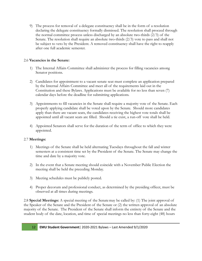9) The process for removal of a delegate constituency shall be in the form of a resolution declaring the delegate constituency formally dismissed. The resolution shall proceed through the normal committee process unless discharged by an absolute two-thirds  $(2/3)$  of the Senate. The resolution shall require an absolute two-thirds  $(2/3)$  vote to pass and shall not be subject to veto by the President. A removed constituency shall have the right to reapply after one full academic semester.

#### 2.6 **Vacancies in the Senate:**

- 1) The Internal Affairs Committee shall administer the process for filling vacancies among Senator positions.
- 2) Candidates for appointment to a vacant senate seat must complete an application prepared by the Internal Affairs Committee and meet all of the requirements laid out in the Constitution and these Bylaws. Applications must be available for no less than seven (7) calendar days before the deadline for submitting applications.
- 3) Appointments to fill vacancies in the Senate shall require a majority vote of the Senate. Each properly applying candidate shall be voted upon by the Senate. Should more candidates apply than there are vacant seats, the candidates receiving the highest vote totals shall be appointed until all vacant seats are filled. Should a tie exist, a run-off vote shall be held.
- 4) Appointed Senators shall serve for the duration of the term of office to which they were appointed.

#### 2.7 **Meetings:**

- 1) Meetings of the Senate shall be held alternating Tuesdays throughout the fall and winter semesters at a consistent time set by the President of the Senate. The Senate may change the time and date by a majority vote.
- 2) In the event that a Senate meeting should coincide with a November Public Election the meeting shall be held the preceding Monday.
- 3) Meeting schedules must be publicly posted.
- 4) Proper decorum and professional conduct, as determined by the presiding officer, must be observed at all times during meetings.

2.8 **Special Meetings:** A special meeting of the Senatemay be called by: (1) The joint approval of the Speaker of the Senate and the President of the Senate or (2) the written approval of an absolute majority of the Senate. The President of the Senate shall inform the entirety of the Senate and the student body of the date, location, and time of special meetings no less than forty-eight (48) hours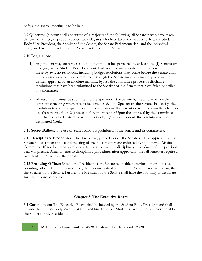before the special meeting is to be held.

2.9 **Quorum:** Quorum shall constitute of a majorityof the following: all Senators who have taken the oath of office, all properly appointed delegates who have taken the oath of office, the Student Body Vice President, the Speaker of the Senate, the Senate Parliamentarian, and the individual designated by the President of the Senate as Clerk of the Senate.

#### 2.10 **Legislation:**

- 1) Any student may author a resolution, but it must be sponsored by at least one (1) Senator or delegate, or the Student Body President. Unless otherwise specified in the Constitution or these Bylaws, no resolution, including budget resolutions, may come before the Senate until it has been approved by a committee, although the Senate may, by a majority vote or the written approval of an absolute majority, bypass the committee process or discharge resolutions that have been submitted to the Speaker of the Senate that have failed or stalled in a committee.
- 2) All resolutions must be submitted to the Speaker of the Senate by the Friday before the committee meeting where it is to be considered. The Speaker of the Senate shall assign the resolution to the appropriate committee and submit the resolution to the committee chair no less than twenty-four (24) hours before the meeting. Upon the approval by the committee, the Chair or Vice Chair must within forty-eight (48) hours submit the resolution to the designated Clerk.

2.11 **Secret Ballots:** The use of secret ballots isprohibited in the Senate and its committees.

2.12 **Disciplinary Procedures:** The disciplinary procedures of the Senate shall be approved by the Senate no later than the second meeting of the fall semester and enforced by the Internal Affairs Committee. If no documents are submitted by this time, the disciplinary procedures of the previous year will preside. Amendments to disciplinary procedures after approval in the fall semester require a two-thirds (2/3) vote of the Senate.

2.13 **Presiding Officer**: Should the President of the Senate be unable to perform their duties as presiding officer due to incapacitation, the responsibility shall fall to the Senate Parliamentarian, then the Speaker of the Senate. Further, the President of the Senate shall have the authority to designate further persons as needed.

#### **Chapter 3: The Executive Board**

3.1 **Composition:** The Executive Board shall be headed by the Student Body President and shall include the Student Body Vice President, and hired staff of Student Government as determined by the Student Body President.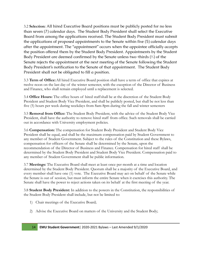3.2 **Selection:** All hired Executive Board positions must be publicly posted for no less than seven (7) calendar days. The Student Body President shall select the Executive Board from among the applications received. The Student Body President must submit the applications of proposed appointments to the Senate within five (5) calendar days after the appointment. The "appointment" occurs when the appointee officially accepts the position offered them by the Student Body President. Appointments by the Student Body President are deemed confirmed by the Senate unless two-thirds (⅔) of the Senate rejects the appointment at the next meeting of the Senate following the Student Body President's notification to the Senate of that appointment. The Student Body President shall not be obligated to fill a position.

3.3 **Term of Office:**All hired Executive Board position shall have a term of office that expires at twelve noon on the last day of the winter semester, with the exception of the Director of Business and Finance, who shall remain employed until a replacement is selected.

3.4 **Office Hours:** The office hours of hired staffshall be at the discretion of the Student Body President and Student Body Vice President, and shall be publicly posted, but shall be not less than five (5) hours per week during weekdays from 8am-8pm during the fall and winter semesters

3.5 **Removal from Office:** The Student Body President, with the advice of the Student Body Vice President, shall have the authority to remove hired staff from office. Such removals shall be carried out in accordance with University employment policies.

3.6 **Compensation:** The compensation for Student Body President and Student Body Vice President shall be equal, and shall be the maximum compensation paid by Student Government to any member of Student Government. Subject to the rules of the Constitution and these Bylaws, compensation for officers of the Senate shall be determined by the Senate, upon the recommendation of the Director of Business and Finance. Compensation for hired staff shall be determined by the Student Body President and Student Body Vice President. Compensation paid to any member of Student Government shall be public information.

3.7 **Meetings:** The Executive Board shall meet at least once per month at a time and location determined by the Student Body President. Quorum shall be a majority of the Executive Board, and every member shall have one (1) vote. The Executive Board may act on behalf of the Senate while the Senate is out of session, but must inform the entire Senate when it exercises this authority. The Senate shall have the power to reject actions taken on its behalf at the first meeting of the year.

3.8 **Student Body President:** In addition to the powers in the Constitution, the responsibilities of the Student Body President shall include, but not be limited to:

- 1) Chair meetings of the Executive Board;
- 2) Advise the Executive Board on matters of the University and the Student Body;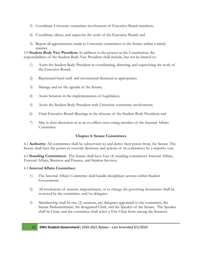- 3) Coordinate University committee involvement of Executive Board members;
- 4) Coordinate, direct, and supervise the work of the Executive Board; and
- 5) Report all appointments made to University committees to the Senate within a timely manner.

3.9 **Student Body Vice President:** In addition to the powers in the Constitution, the responsibilities of the Student Body Vice President shall include, but not be limited to:

- 1) Assist the Student Body President in coordinating, directing, and supervising the work of the Executive Board;
- 2) Reprimand hired staff and recommend dismissal as appropriate;
- 3) Manage and set the agenda of the Senate;
- 4) Assist Senators in the implementation of Legislation;
- 5) Assist the Student Body President with University committee involvement;
- 6) Chair Executive Board Meetings in the absence of the Student Body President; and
- 7) May at their discretion sit as an ex-officio non-voting member of the Internal Affairs Committee.

#### **Chapter 4: Senate Committees**

4.1 **Authority:** All committees shall be subservient to, and derive their power from, the Senate. The Senate shall have the power to overrule decisions and actions of its committees by a majority vote.

4.2 **Standing Committees:** The Senate shall have four (4) standing committees: Internal Affairs, External Affairs, Business and Finance, and Student Services.

#### 4.3 **Internal Affairs Committee:**

- 1) The Internal Affairs Committee shall handle disciplinary actions within Student Government.
- 2) All resolutions of censure, impeachment, or to change the governing documents shall be reviewed by the committee. and/or delegates
- 3) Membership shall be two (2) senators, any delegates appointed to the committee, the Senate Parliamentarian, the designated Clerk, and the Speaker of the Senate. The Speaker shall be Chair, and the committee shall select a Vice Chair from among the Senators.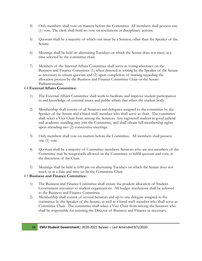- 4) Only members shall vote on matters before the Committee. All members shall possess one (1) vote. The clerk shall hold no vote on resolutions or disciplinary actions.
- 5) Quorum shall be a majority of which one must be a Senator, other than the Speaker of the Senate.
- 6) Meetings shall be held on alternating Tuesdays on which the Senate does not meet, at a time selected by the committee chair.
- 7) Members of the Internal Affairs Committee shall serve as voting alternates on the Business and Finance Committee (1) when directed in writing by the Speaker of the Senate as necessary to ensure quorum and (2) upon completion of training regarding the allocation process by the Business and Finance Committee Chair or the Senate Parliamentarian.

#### 4.4 **External Affairs Committee:**

- 1) The External Affairs Committee shall work to facilitate and improve student participation in and knowledge of external issues and public affairs that affect the student body.
- 2) Membership shall consist of all Senators and delegates assigned to the committee by the Speaker of the Senate and a hired staff member who shall serve as chair. The committee shall select a Vice Chair from among the Senators. Any registered student in good judicial and academic standing may join the Committee, and shall obtain full membership rights upon attending two (2) consecutive meetings.
- 3) Only members shall vote on matters before the Committee. All members shall possess one (1) vote.
- 4) Quorum shall be a majority of Committee members. Senators who are not members of the Committee may be temporarily allowed on the Committee to fulfill quorum and vote, at the discretion of the Chair.
- 5) Meetings shall be held at 6:00 pm on alternating Tuesdays on which the Senate does not meet, or at a date and time set by the Committee Chair.

#### 4.5 **Business and Finance Committee:**

- 1) The Business and Finance Committee shall ensure the prudent allocation of Student Government resources to student organizations. All budget resolutions shall be referred to the Business and Finance Committee.
- 2) Membership shall consist of several Senators and up to one delegate assigned to the committee by the Speaker of the Senate, as well as a hired staff member who shall serve as Committee Chair. The committee shall select a Vice Chair from among the Senators who shall be responsible for assisting the Director of Business and Finance as necessary.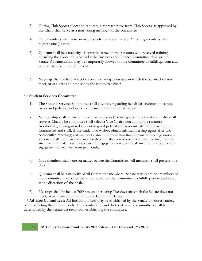- 3) During Club Sports allocation requests, a representative from Club Sports, as approved by the Chair, shall serve as a non-voting member on the committee.
- 4) Only members shall vote on matters before the committee. All voting members shall possess one (1) vote.
- 5) Quorum shall be a majority of committee members. Senators who received training regarding the allocation process by the Business and Finance Committee chair or the Senate Parliamentarian may be temporarily allowed on the committee to fulfill quorum and vote, at the discretion of the chair.
- 6) Meetings shall be held at 6:30pm on alternating Tuesdays on which the Senate does not meet, or at a date and time set by the committee chair.

#### 4.6 **Student Services Committee:**

- 1) The Student Services Committee shall advocate regarding behalf of students on campus issues and policies, and work to enhance the student experience.
- 2) Membership shall consist of several senators and/or delegates and a hired staff who shall serve as Chair. The committee shall select a Vice Chair from among the senators. Additionally, any registered student in good judicial and academic standing may join the Committee, and shall, if the student so wishes, obtain full membership rights after two consecutive meetings; and may not be absent for more than three committee meetings during a semester, shall remain in attendance for the entire duration of each committee meeting that they attend, shall attend at least two Senate meetings per semester, and shall attend at least one campus engagement or volunteer event per month;
- 3) Only members shall vote on matter before the Committee. All members shall possess one (1) vote.
- 4) Quorum shall be a majority of all Committee members. Senators who are not members of the Committee may be temporarily allowed on the Committee to fulfill quorum and vote, at the discretion of the chair.
- 5) Meetings shall be held at 7:00 pm on alternating Tuesdays on which the Senate does not meet, or at a date and time set by the Committee Chair.

4.7 **Ad-Hoc Committees:** Ad-hoc committees may be established by the Senate to address timely issues affecting the Student Body. The membership and duties of ad-hoc committees shall be determined by the Senate via resolution establishing the committee.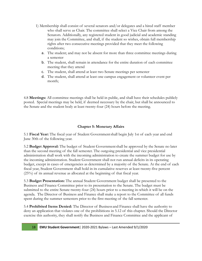- 1) Membership shall consist of several senators and/or delegates and a hired staff member who shall serve as Chair. The committee shall select a Vice Chair from among the Senators. Additionally, any registered student in good judicial and academic standing may join the Committee, and shall, if the student so wishes, obtain full membership rights after two consecutive meetings provided that they meet the following conditions;
	- a. The student; and may not be absent for more than three committee meetings during a semester
	- b. The student, shall remain in attendance for the entire duration of each committee meeting that they attend
	- c. The student, shall attend at least two Senate meetings per semester
	- d. The student, shall attend at least one campus engagement or volunteer event per month;

4.8 **Meetings:** All committee meetings shall be held in public, and shall have their schedules publicly posted. Special meetings may be held, if deemed necessary by the chair, but shall be announced to the Senate and the student body at least twenty-four (24) hours before the meeting.

#### **Chapter 5: Monetary Affairs**

5.1 **Fiscal Year:** The fiscal year of Student Governmentshall begin July 1st of each year and end June 30th of the following year.

5.2 **Budget Approval:** The budget of Student Governmentshall be approved by the Senate no later than the second meeting of the fall semester. The outgoing presidential and vice presidential administration shall work with the incoming administration to create the summer budget for use by the incoming administration. Student Government shall not run annual deficits in its operating budget, except in cases of emergencies as determined by a majority of the Senate. At the end of each fiscal year, Student Government shall hold in its cumulative reserves at least twenty-five percent (25%) of its annual revenue as allocated at the beginning of that fiscal year.

5.3 **Budget Presentation:** The annual Student Government budget shall be presented to the Business and Finance Committee prior to its presentation to the Senate. The budget must be submitted to the entire Senate twenty-four (24) hours prior to a meeting in-which it will be on the agenda. The Director of Business and Finance shall make a report to the Committee of all funds spent during the summer semesters prior to the first meeting of the fall semester.

5.4 **Prohibited Items Denied:** The Director of Business and Finance shall have the authority to deny an application that violates one of the prohibitions in 5.12 of this chapter. Should the Director exercise this authority, they shall notify the Business and Finance Committee and the applicant of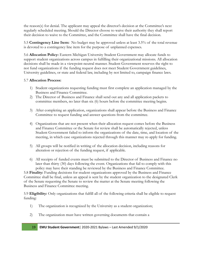the reason(s) for denial. The applicant may appeal the director's decision at the Committee's next regularly scheduled meeting. Should the Director choose to waive their authority they shall report their decision to waive to the Committee, and the Committee shall have the final decision.

5.5 **Contingency Line Item:** No budget may be approved unless at least 3.5% of the total revenue is devoted to a contingency line item for the purpose of unplanned expenses.

5.6 **Allocation Policy:** Eastern Michigan University Student Government may allocate funds to support student organizations across campus in fulfilling their organizational missions. All allocation decisions shall be made in a viewpoint-neutral manner. Student Government reserves the right to not fund organizations if the funding request does not meet Student Government guidelines, University guidelines, or state and federal law, including by not limited to, campaign finance laws.

#### 5.7 **Allocation Process:**

- 1) Student organizations requesting funding must first complete an application managed by the Business and Finance Committee.
- 2) The Director of Business and Finance shall send out any and all application packets to committee members, no later than six (6) hours before the committee meeting begins.
- 3) After completing an application, organizations shall appear before the Business and Finance Committee to request funding and answer questions from the committee.
- 4) Organizations that are not present when their allocation request comes before the Business and Finance Committee or the Senate for review shall be automatically rejected, unless Student Government failed to inform the organizations of the date, time, and location of the meeting, in which case organizations rejected through this manner may re-apply for funding.
- 5) All groups will be notified in writing of the allocation decision, including reasons for alteration or rejection of the funding request, if applicable.
- 6) All receipts of funded events must be submitted to the Director of Business and Finance no later than thirty (30) days following the event. Organizations that fail to comply with this policy may have their standing be reviewed by the Business and Finance Committee.

5.8 **Finality:** Funding decisions for student organizations approved by the Business and Finance Committee shall be final, unless an appeal is sent by the student organization to the designated Clerk of the Senate requesting the Senate to review the matter at the Senate meeting following the Business and Finance Committee meeting.

5.9 **Eligibility:** Only organizations that fulfill all of the following criteria shall be eligible to request funding:

- 1) The organization is recognized by the University as a student organization;
- 2) The organization must have written governing documents that contain a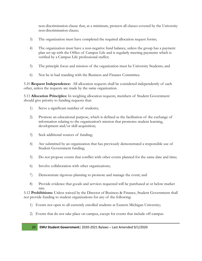non-discrimination clause that, at a minimum, protects all classes covered by the University non-discrimination clause;

- 3) The organization must have completed the required allocation request forms;
- 4) The organization must have a non-negative fund balance, unless the group has a payment plan set-up with the Office of Campus Life and is regularly meeting payments which is verified by a Campus Life professional staffer;
- 5) The principle focus and mission of the organization must be University Students; and
- 6) Not be in bad standing with the Business and Finance Committee.

5.10 **Request Independence:** All allocation requests shall be considered independently of each other, unless the requests are made by the same organization.

5.11 **Allocation Principles:** In weighing allocation requests, members of Student Government should give priority to funding requests that:

- 1) Serve a significant number of students;
- 2) Promote an educational purpose, which is defined as the facilitation of the exchange of information relating to the organization's mission that promotes student learning, development and/or skill acquisition;
- 3) Seek additional sources of funding;
- 4) Are submitted by an organization that has previously demonstrated a responsible use of Student Government funding;
- 5) Do not propose events that conflict with other events planned for the same date and time;
- 6) Involve collaboration with other organizations;
- 7) Demonstrate rigorous planning to promote and manage the event; and
- 8) Provide evidence that goods and services requested will be purchased at or below market rate.

5.12 **Prohibitions:** Unless waived by the Director of Business & Finance, Student Government shall not provide funding to student organizations for any of the following:

- 1) Events not open to all currently enrolled students at Eastern Michigan University;
- 2) Events that do not take place on campus, except for events that include off-campus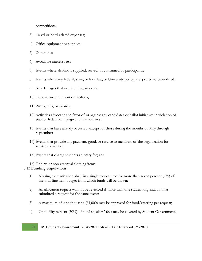competitions;

- 3) Travel or hotel related expenses;
- 4) Office equipment or supplies;
- 5) Donations;
- 6) Avoidable interest fees;
- 7) Events where alcohol is supplied, served, or consumed by participants;
- 8) Events where any federal, state, or local law, or University policy, is expected to be violated;
- 9) Any damages that occur during an event;
- 10) Deposit on equipment or facilities;
- 11) Prizes, gifts, or awards;
- 12) Activities advocating in favor of or against any candidates or ballot initiatives in violation of state or federal campaign and finance laws;
- 13) Events that have already occurred; except for those during the months of May through September;
- 14) Events that provide any payment, good, or service to members of the organization for services provided;
- 15) Events that charge students an entry fee; and
- 16) T-shirts or non-essential clothing items.

#### 5.13 **Funding Stipulations:**

- 1) No single organization shall, in a single request, receive more than seven percent (7%) of the total line item budget from which funds will be drawn;
- 2) An allocation request will not be reviewed if more than one student organization has submitted a request for the same event;
- 3) A maximum of one-thousand (\$1,000) may be approved for food/catering per request;
- 4) Up to fifty percent (50%) of total speakers' fees may be covered by Student Government,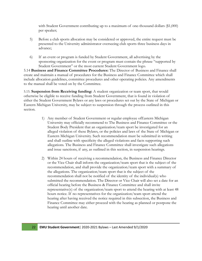with Student Government contributing up to a maximum of one-thousand dollars (\$1,000) per speaker;

- 5) Before a club sports allocation may be considered or approved, the entire request must be presented to the University administrator overseeing club sports three business days in advance;
- 6) If an event or program is funded by Student Government, all advertising by the sponsoring organization for the event or program must contain the phrase "supported by Student Government" or the most current Student Government logo.

5.14 **Business and Finance Committee Procedures:** The Director of Business and Finance shall create and maintain a manual of procedures for the Business and Finance Committee which shall include allocation guidelines, committee procedures and other operating policies. Any amendments to the manual shall be voted on by the Committee.

5.15. **Suspension from Receiving funding:** A student organization or team sport, that would otherwise be eligible to receive funding from Student Government, that is found in violation of either the Student Government Bylaws or any laws or procedures set out by the State of Michigan or Eastern Michigan University, may be subject to suspension through the process outlined in this section.

- 1) Any member of Student Government or regular employee ofEastern Michigan University may officially recommend to The Business and Finance Committee or the Student Body President that an organization/team sport be investigated for an alleged violation of these Bylaws, or the policies and laws of the State of Michigan or Eastern Michigan University. Such recommendation must be submitted in writing and shall outline with specificity the alleged violations and facts supporting such allegations. The Business and Finance Committee shall investigate such allegations and issue sanctions, if any, as outlined in this section, in suspension hearings.
- 2) Within 24 hours of receiving a recommendation, the Business and Finance Director or the Vice Chair shall inform the organization/team sport that is the subject of the recommendation, and shall provide the organization/team sport with a summary of the allegations. The organization/team sport that is the subject of the recommendation shall not be notified of the identity of the individual(s) who submitted the recommendation. The Director or Vice Chair will also set a date for an official hearing before the Business & Finance Committee and shall invite representative(s) of the organization/team sport to attend the hearing with at least 48 hours notice. If no representatives for the organization/team sport attend the hearing after having received the notice required in this subsection, the Business and Finance Committee may either proceed with the hearing as planned or postpone the hearing until another date.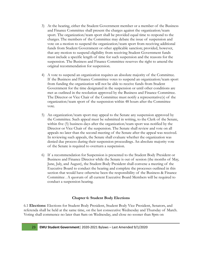- 3) At the hearing, either the Student Government member or a member of the Business and Finance Committee shall present the charges against the organization/team sport. The organization/team sport shall be provided equal time to respond to the charges. The members of the Committee may debate the issue of suspension and vote on a motion to suspend the organization/team sport from receiving additional funds from Student Government or other applicable sanction; provided, however, that any motion to suspend eligibility from receiving Student Government funds must include a specific length of time for such suspension and the reasons for the suspension. The Business and Finance Committee reserves the right to amend the original recommendation for suspension.
- 4) A vote to suspend an organization requires an absolute majority of the Committee. If the Business and Finance Committee votes to suspend an organization/team sport from funding the organization will not be able to receive funds from Student Government for the time designated in the suspension or until other conditions are met as outlined in the resolution approved by the Business and Finance Committee. The Director or Vice Chair of the Committee must notify a representative(s) of the organization/team sport of the suspension within 48 hours after the Committee vote.
- 5) An organization/team sport may appeal to the Senate any suspension approved by the Committee. Such appeal must be submitted in writing, to the Clerk of the Senate, within five (5) business days after the organization/team sport was notified by the Director or Vice Chair of the suspension. The Senate shall review and vote on all appeals no later than the second meeting of the Senate after the appeal was received. In reviewing such appeals, the Senate shall evaluate whether the organization was denied due process during their suspension proceedings. An absolute majority vote of the Senate is required to overturn a suspension.
- 6) If a recommendation for Suspension is presented to the Student Body President or Business and Finance Director while the Senate is out of session (the months of May, June, July, and August), the Student Body President shall convene a meeting of the Executive Board to conduct the hearing and complete the processes outlined in this section that would have otherwise been the responsibility of the Business & Finance Committee . A quorum of all current Executive Board Members will be required to conduct a suspension hearing.

#### **Chapter 6: Student Body Elections**

6.1 **Elections:** Elections for Student Body President, Student Body Vice President, Senators, and referenda shall be held at the same time, on the last consecutive Wednesday and Thursday of March. Voting shall commence no later than 8am on Wednesday, and close no sooner than 8pm on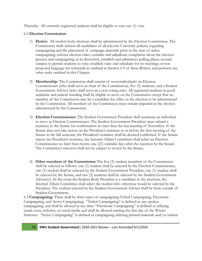Thursday. All currently registered students shall be eligible to cast one (1) vote.

#### 6.2 **Election Commission:**

- 1) **Duties:** All student body elections shall be administered by the Election Commission. The Commission shall: inform all candidates of all relevant University policies regarding campaigning and the placement of campaign materials prior to the start of active campaigning; enforce election rules; consider and adjudicate complaints about the election process and campaigning; at its discretion, establish and administer polling places around campus to permit students to vote; establish rules and schedules for its meetings; review proposed language for referenda as outlined in Section 6.9 of these Bylaws; and perform any other tasks outlined in this Chapter.
- 2) **Membership:** The Commission shall consist of sevenindividuals: an Election Commissioner (who shall serve as chair of the Commission), five (5) students, and a Student Government Adviser (who shall serve in a non-voting role). All registered students in good academic and judicial standing shall be eligible to serve on the Commission except that no member of the Commission may be a candidate for office in the election to be administered by the Commission. All members of the Commission must remain impartial in the election administered by the Commission.
- 3) **Election Commissioner:** The Student Government President shall nominate an individual to serve as Election Commissioner. The Student Government President must submit a nominee to the Senate for confirmation no later than the last meeting of November. If the Senate does not take action on the President's nominee at or before the first meeting of the Senate in the fall semester, the President's nominee shall be deemed confirmed. If the Senate rejects the President's nominee, the Internal Affairs Committee shall select an Election Commissioner no later than twenty-one (21) calendar days after the rejection by the Senate. The Committee's selection shall not be subject to review by the Senate.
- 4) **Other members of the Commission:**The five (5) student members of the Commission shall be selected as follows: one (1) student shall be selected by the Election Commissioner, one (1) student shall be selected by the Student Government President, one (1) student shall be selected by the Senate, and two (2) students shall be selected by the Student Government Adviser(s). In the event the Student Body President is a candidate in the elections, the Internal Affairs Committee shall select the student who otherwise would be selected by the President. The student selected by the Student Government Adviser shall be from outside of Student Government.

6.3 **Campaigning:** There shall be three types of campaigning:Verbal Campaigning, Electronic Campaigning, and Active Campaigning. "Verbal Campaigning" is defined as any spoken campaigning, and shall be allowed at any time. "Electronic Campaigning" is defined as utilizing email, texts, websites, or social media and shall be allowed starting the first day of the Winter Semester. "Active Campaigning" is defined as campaigning utilizing printed materials and/or written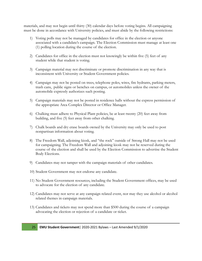materials, and may not begin until thirty (30) calendar days before voting begins. All campaigning must be done in accordance with University policies, and must abide by the following restrictions:

- 1) Voting polls may not be managed by candidates for office in the election or anyone associated with a candidate's campaign. The Election Commission must manage at least one (1) polling location during the course of the election.
- 2) Candidates for office in the election must not knowingly be within five (5) feet of any student while that student is voting.
- 3) Campaign material may not discriminate or promote discrimination in any way that is inconsistent with University or Student Government policies.
- 4) Campaign may not be posted on trees, telephone poles, wires, fire hydrants, parking meters, trash cans, public signs or benches on campus, or automobiles unless the owner of the automobile expressly authorizes such posting.
- 5) Campaign materials may not be posted in residence halls without the express permission of the appropriate Area Complex Director or Office Manager.
- 6) Chalking must adhere to Physical Plant policies, be at least twenty (20) feet away from building, and five (5) feet away from other chalking.
- 7) Chalk boards and dry erase boards owned by the University may only be used to post nonpartisan information about voting.
- 8) The Freedom Wall, adjoining kiosk, and "the rock" outside of Strong Hall may not be used for campaigning. The Freedom Wall and adjoining kiosk may not be reserved during the course of the election and shall be used by the Election Commission to advertise the Student Body Elections.
- 9) Candidates may not tamper with the campaign materials of other candidates.
- 10) Student Government may not endorse any candidate.
- 11) No Student Government resources, including the Student Government offices, may be used to advocate for the election of any candidate.
- 12) Candidates may not serve at any campaign related event, nor may they use alcohol or alcohol related themes in campaign materials.
- 13) Candidates and tickets may not spend more than \$500 during the course of a campaign advocating the election or rejection of a candidate or ticket.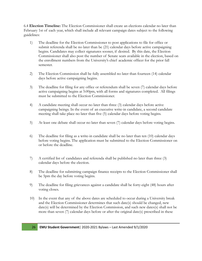6.4 **Election Timeline:** The Election Commissioner shall create an elections calendar no later than February 1st of each year, which shall include all relevant campaign dates subject to the following guidelines:

- 1) The deadline for the Election Commissioner to post applications to file for office or submit referenda shall be no later than be (21) calendar days before active campaigning begins. Candidates may collect signatures sooner, if desired. By this date, the Election Commissioner shall also post the number of Senate seats available in the election, based on the enrollment numbers from the University's chief academic officer for the prior fall semester.
- 2) The Election Commission shall be fully assembled no later than fourteen (14) calendar days before active campaigning begins.
- 3) The deadline for filing for any office or referendum shall be seven (7) calendar days before active campaigning begins at 5:00pm, with all forms and signatures completed. All filings must be submitted to the Election Commissioner.
- 4) A candidate meeting shall occur no later than three (3) calendar days before active campaigning beings. In the event of an executive write-in candidate, a second candidate meeting shall take place no later than five (5) calendar days before voting begins.
- 5) At least one debate shall occur no later than seven (7) calendar days before voting begins.
- 6) The deadline for filing as a write-in candidate shall be no later than ten (10) calendar days before voting begins. The application must be submitted to the Election Commissioner on or before the deadline.
- 7) A certified list of candidates and referenda shall be published no later than three (3) calendar days before the election.
- 8) The deadline for submitting campaign finance receipts to the Election Commissioner shall be 5pm the day before voting begins.
- 9) The deadline for filing grievances against a candidate shall be forty-eight (48) hours after voting closes.
- 10) In the event that any of the above dates are scheduled to occur during a University break and the Election Commissioner determines that such date(s) should be changed, new date(s) will be determined by the Election Commission, and such new dates(s) shall not be more than seven (7) calendar days before or after the original date(s) prescribed in these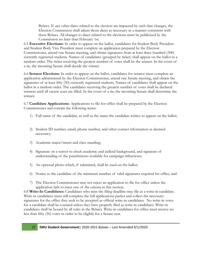Bylaws. If any other dates related to the election are impacted by such date changes, the Election Commission shall adjust those dates as necessary in a manner consistent with these Bylaws. All changes to dates related to the elections must be publicized by the Commission no later than February 1st.

6.5 **Executive Elections:** In order to appear on the ballot, candidates for Student Body President and Student Body Vice President must complete an application prepared by the Election Commissioner, attend one Senate meeting, and obtain signatures from at least three hundred (300) currently registered students. Names of candidates (grouped by ticket) shall appear on the ballot in a random order. The ticket receiving the greatest number of votes shall be the winner. In the event of a tie, the incoming Senate shall decide the winner.

6.6 **Senator Elections:** In order to appear on the ballot, candidates for senator must complete an application administered by the Election Commissioner, attend one Senate meeting, and obtain the signatures of at least fifty (50) currently registered students. Names of candidates shall appear on the ballot in a random order. The candidates receiving the greatest number of votes shall be declared winners until all vacant seats are filled. In the event of a tie, the incoming Senate shall determine the winner.

6.7 **Candidate Applications:** Applications to file for office shall be prepared by the Election Commissioner and contain the following items:

- 1) Full name of the candidate, as well as the name the candidate wishes to appear on the ballot;
- 2) Student ID number, email, phone number, and other contact information as deemed necessary;
- 3) Academic major/intent and class standing;
- 4) Signature on a waiver to check academic and judicial background, and signature of understanding of the punishments available for campaign infractions;
- 5) An optional photo which, if submitted, shall be used on the ballot;
- 6) Notice to the candidate of the minimum number of valid signatures required for office; and
- 7) The Election Commissioner may not reject an application to file for office unless the application fails to meet one of the criteria in this section.

6.8 **Write-In Candidates:** Candidates who miss the filing deadline may file as a write-in candidate. Write-in candidates must still complete the full applications packet and collect the necessary signatures for the office they seek to be accepted as official write-in candidates. No write-in votes for a candidate shall be counted unless they have properly filed as write-in candidates. Write-in candidates shall be bound by all rules in the Bylaws. Write-in candidates for office must receive no less than fifty (50) votes in order to be eligible for a Senate seat.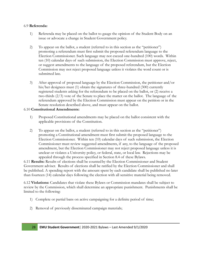#### 6.9 **Referenda:**

- 1) Referenda may be placed on the ballot to gauge the opinion of the Student Body on an issue or advocate a change in Student Government policy.
- 2) To appear on the ballot, a student (referred to in this section as the "petitioner") promoting a referendum must first submit the proposed referendum language to the Election Commissioner. Such language may not exceed one-hundred (100) words. Within ten (10) calendar days of such submission, the Election Commission must approve, reject, or suggest amendments to the language of the proposed referendum, but the Election Commission may not reject proposed language unless it violates the word count or is submitted late.
- 3) After approval of proposed language by the Election Commission, the petitioner and/or his/her designees must (1) obtain the signatures of three-hundred (300) currently registered students asking for the referendum to be placed on the ballot, or (2) receive a two-thirds (2/3) vote of the Senate to place the matter on the ballot. The language of the referendum approved by the Election Commission must appear on the petition or in the Senate resolution described above, and must appear on the ballot.

#### 6.10 **Constitutional Amendments:**

- 1) Proposed Constitutional amendments may be placed on the ballot consistent with the applicable provisions of the Constitution.
- 2) To appear on the ballot, a student (referred to in this section as the "petitioner") promoting a Constitutional amendment must first submit the proposed language to the Election Commissioner. Within ten (10) calendar days of such submission, the Election Commissioner must review suggested amendments, if any, to the language of the proposed amendment, but the Election Commissioner may not reject proposed language unless it is unclear or violates a University policy, or federal, state, or local law. Rejections may be appealed through the process specified in Section 8.4 of these Bylaws.

6.11 **Results:** Results of elections shall be countedby the Election Commissioner and Student Government adviser. Results of elections shall be ratified by the Election Commissioner and shall be published. A spending report with the amount spent by each candidate shall be published no later than fourteen (14) calendar days following the election with all sensitive material being removed.

6.12 **Violations:** Candidates that violate these Bylaws or Commission mandates shall be subject to review by the Commission, which shall determine an appropriate punishment. Punishments shall be limited to the following:

- 1) Complete or partial bans on active campaigning for a definite period of time;
- 2) Removal of previously disseminated campaign materials;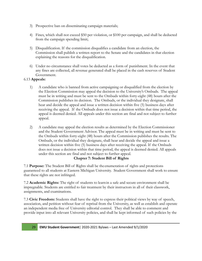- 3) Prospective ban on disseminating campaign materials;
- 4) Fines, which shall not exceed \$50 per violation, or \$100 per campaign, and shall be deducted from the campaign spending limit;
- 5) Disqualification. If the commission disqualifies a candidate from an election, the Commission shall publish a written report to the Senate and the candidates in that election explaining the reasons for the disqualification.
- 6) Under no circumstance shall votes be deducted as a form of punishment. In the event that any fines are collected, all revenue generated shall be placed in the cash reserves of Student Government.

#### 6.13 **Appeals:**

- 1) A candidate who is banned from active campaigning or disqualified from the election by the Election Commission may appeal the decision to the University's Ombuds. The appeal must be in writing and must be sent to the Ombuds within forty-eight (48) hours after the Commission publishes its decision. The Ombuds, or the individual they designate, shall hear and decide the appeal and issue a written decision within five (5) business days after receiving the appeal. If the Ombuds does not issue a decision within that time period, the appeal is deemed denied. All appeals under this section are final and not subject to further appeal.
- 2) A candidate may appeal the election results as determined by the Election Commissioner and the Student Government Advisor. The appeal must be in writing and must be sent to the Ombuds within forty-eight (48) hours after the Commission publishes the results. The Ombuds, or the individual they designate, shall hear and decide the appeal and issue a written decision within five (5) business days after receiving the appeal. If the Ombuds does not issue a decision within that time period, the appeal is deemed denied. All appeals under this section are final and not subject to further appeal.

#### **Chapter 7: Student Bill of Rights**

7.1 **Purpose:** The Student Bill of Rights shall be the enumeration of rights and protections guaranteed to all students at Eastern Michigan University. Student Government shall work to ensure that these rights are not infringed.

7.2 **Academic Rights:** The right of students to learnin a safe and secure environment shall be impregnable. Students are entitled to fair treatment by their instructors in all of their classwork, assignments, and examinations.

7.3 **Civic Freedom:** Students shall have the right to express their political views by way of speech, association, and petition without fear of reprisal from the University, as well as establish and operate an independent media free of University editorial control. They shall be able to comment and provide input into all relevant University policies, and shall be kept informed of such policies by the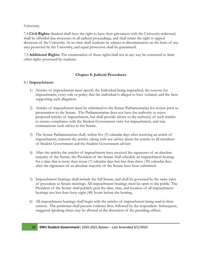University.

7.4 **Civil Rights:** Student shall have the right to have their grievances with the University redressed, shall be afforded due processes in all judicial proceedings, and shall retain the right to appeal decisions of the University. At no time shall students be subject to discrimination on the basis of any area protected by the University, and equal protection shall be guaranteed.

7.5 **Additional Rights:** The enumeration of these rightsshall not in any way be construed to limit other rights possessed by students.

#### **Chapter 8: Judicial Procedures**

#### 8.1 **Impeachment:**

- 1) Articles of impeachment must specify the Individual being impeached, the reasons for impeachment, every rule or policy that the individual is alleged to have violated, and the facts supporting each allegation.
- 2) Articles of impeachment must be submitted to the Senate Parliamentarian for review prior to presentation to the Senate. The Parliamentarian does not have the authority to reject proposed articles of impeachment, but shall provide advice to the author(s) of such articles to ensure compliance with the Student Government rules for impeachment, and may communicate such advice to the Senate.
- 3) The Senate Parliamentarian shall, within five (5) calendar days after receiving an article of impeachment, transmit the articles (along with any advice about the articles to all members of Student Government and the Student Government adviser.
- 4) After the articles the articles of impeachment have received the signatures of an absolute majority of the Senate, the President of the Senate shall schedule an impeachment hearing for a time that is more than seven (7) calendar days but less than thirty (30) calendar days after the signatures of an absolute majority of the Senate have been submitted.
- 5) Impeachment hearings shall include the full Senate, and shall be governed by the same rules of procedure as Senate meetings. All impeachment hearings must be open to the public. The President of the Senate shall publicly post the date, time, and location of all impeachment hearings not less than forty-eight (48) hours before the hearing.
- 6) All impeachment hearings shall begin with the articles of impeachment being read in their entirety. The petitioner shall present evidence first, followed by the respondent. Subsequent, staggered speaking times may be allowed at the discretion of the presiding officer.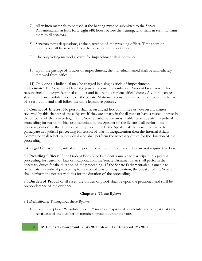- 7) All written materials to be used at the hearing must be submitted to the Senate Parliamentarian at least forty-eight (48) hours before the hearing, who shall, in turn, transmit them to all senators.
- 8) Senators may ask questions, at the discretion of the presiding officer. Time spent on questions shall be separate from the presentation of evidence.
- 9) The only voting method allowed for impeachment shall be roll call.
- 10) Upon the passage of articles of impeachment, the individual named shall be immediately removed from office.

11) Only one (1) individual may be charged in a single article of impeachment. 8.2 **Censure:** The Senate shall have the power to censure members of Student Government for reasons including unprofessional conduct and failure to complete official duties. A vote to censure shall require an absolute majority of the Senate. Motions to censure must be presented in the form of a resolution, and shall follow the same legislative process.

8.3 **Conflict of Interest:**No person shall sit on any ad-hoc committee or vote on any matter reviewed by this chapter of these Bylaws if they are a party in the dispute or have a vested interest in the outcome of the proceeding. If the Senate Parliamentarian is unable to participate in a judicial proceeding for reason of bias or incapacitation, the Speaker of the Senate shall perform the necessary duties for the duration of the proceeding. If the Speaker of the Senate is unable to participate in a judicial proceeding for reason of bias or incapacitation then the Internal Affairs Committee shall select an individual who shall perform the necessary duties for the duration of the proceeding.

8.4 **Legal Counsel:** Litigants shall be permitted to use representation, but are not required to do so.

8.5 **Presiding Officer:** If the Student Body Vice Presidentis unable to participate in a judicial proceeding for reason of bias or incapacitation, the Senate Parliamentarian shall perform the necessary duties for the duration of the proceeding. If the Senate Parliamentarian is unable to participate in a judicial proceeding for reason of bias or incapacitation, the Speaker of the Senate shall perform the necessary duties for the duration of the proceeding.

8.6 **Burden of Proof:**For all cases, the burden of proof shall be upon the petitioner, and shall be preponderance of the evidence.

#### **Chapter 9: These Bylaws**

#### 9.1 **Definitions:** Throughout these Bylaws:

1) Use of the phrase "absolute majority" means a majority of all members serving at that time regardless of the number of members present during the vote.

31 **EMU Student Government**| 2020-2021 Bylaws – Last Amended 9/1/2020